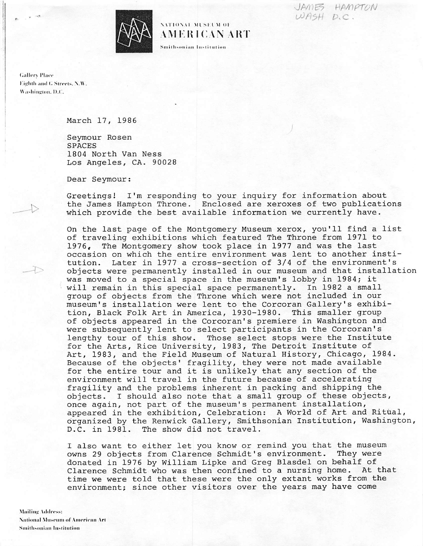JAMES HAMPTON  $WBSH$  D.C.



## NATIONAL MUSEUM OF AMERICAN ART

Smithsonian Institution

**Gallery Place** Eighth and G Streets, N.W. Washington, D.C.

## March 17, 1986

Seymour Rosen **SPACES** 1804 North Van Ness Los Angeles, CA. 90028

Dear Seymour:

Greetings! I'm responding to your inquiry for information about the James Hampton Throne. Enclosed are xeroxes of two publications which provide the best available information we currently have.

On the last page of the Montgomery Museum xerox, you'll find a list of traveling exhibitions which featured The Throne from 1971 to 1976, The Montgomery show took place in 1977 and was the last occasion on which the entire environment was lent to another institution. Later in 1977 a cross-section of 3/4 of the environment's objects were permanently installed in our museum and that installation was moved to a special space in the museum's lobby in 1984; it will remain in this special space permanently. In 1982 a small group of objects from the Throne which were not included in our museum's installation were lent to the Corcoran Gallery's exhibition, Black Folk Art in America, 1930-1980. This smaller group of objects appeared in the Corcoran's premiere in Washington and were subsequently lent to select participants in the Corcoran's lengthy tour of this show. Those select stops were the Institute for the Arts, Rice University, 1983, The Detroit Institute of Art, 1983, and the Field Museum of Natural History, Chicago, 1984. Because of the objects' fragility, they were not made available for the entire tour and it is unlikely that any section of the environment will travel in the future because of accelerating fragility and the problems inherent in packing and shipping the objects. I should also note that a small group of these objects, once again, not part of the museum's permanent installation, appeared in the exhibition, Celebration: A World of Art and Ritual, organized by the Renwick Gallery, Smithsonian Institution, Washington, D.C. in 1981. The show did not travel.

I also want to either let you know or remind you that the museum owns 29 objects from Clarence Schmidt's environment. They were donated in 1976 by William Lipke and Greg Blasdel on behalf of Clarence Schmidt who was then confined to a nursing home. At that time we were told that these were the only extant works from the environment; since other visitors over the years may have come

**Mailing Address: National Museum of American Art Smithsonian Institution**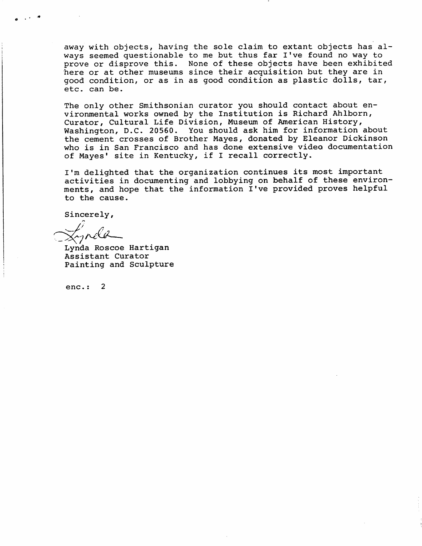away with objects, having the sole claim to extant objects has al-<br>ways seemed questionable to me but thus far I've found no way to prove or disprove this. None of these objects have been exhibited prove or disprove this. None or these objects have been exhibited<br>have an at athor mucoume since their acquisition but they are in here or a t ocher museums since their acquisition but they are find good condition, or as in as good condition as plastic dolls, tar, etc. can be.

The only other Smithsonian curator you should contact about environmental works owned by the Institution is Richard Ahlborn,<br>Curator, Cultural Life Division, Museum of American History, Washington, D.C. 20560. You should ask him for information about wa shington, D.C. 20000. Tou should ask him for information about the cement crosses of Brother Mayes, donated by Eleanor Dickinson who is in San Francisco and has done extensive video documentation of Mayes' site in Kentucky, if I recall correctly.

I'm delighted that the organization continues its most important activities in documenting and lobbying on behalf of these environments, and hope that the information I've provided proves helpful to the cause.

Sincerely,

Lynda Roscoe Hartigan A s s cant caracci Painting and Sculpture

enc.:  $2$